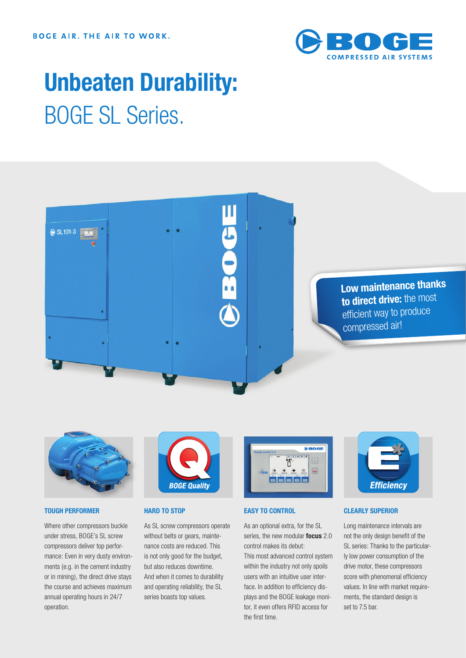

## **Unbeaten Durability:** BOGE SL Series.





#### **TOUGH PERFORMER**

Where other compressors buckle under stress, BOGE's SL screw compressors deliver top performance: Even in very dusty environments (e.g. in the cement industry or in mining), the direct drive stays the course and achieves maximum annual operating hours in 24/7 operation.



#### **HARD TO STOP**

As SL screw compressors operate without belts or gears, maintenance costs are reduced. This is not only good for the budget, but also reduces downtime. And when it comes to durability and operating reliability, the SL series boasts top values.



#### **EASY TO CONTROL**

As an optional extra, for the SL series, the new modular **focus** 2.0 control makes its debut:

This most advanced control system within the industry not only spoils users with an intuitive user interface. In addition to efficiency displays and the BOGE leakage monitor, it even offers RFID access for the first time.



#### **CLEARLY SUPERIOR**

Long maintenance intervals are not the only design benefit of the SL series: Thanks to the particularly low power consumption of the drive motor, these compressors score with phenomenal efficiency values. In line with market requirements, the standard design is set to 7.5 bar.